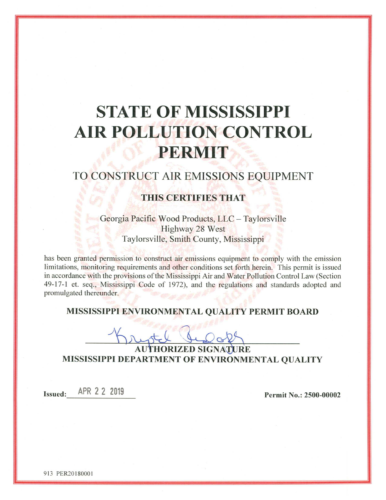# **STATE OF MISSISSIPPI AIR POLLUTION CONTROL** PERMIT

## TO CONSTRUCT AIR EMISSIONS EQUIPMENT

## **THIS CERTIFIES THAT**

Georgia Pacific Wood Products, LLC - Taylorsville Highway 28 West Taylorsville, Smith County, Mississippi

has been granted permission to construct air emissions equipment to comply with the emission limitations, monitoring requirements and other conditions set forth herein. This permit is issued in accordance with the provisions of the Mississippi Air and Water Pollution Control Law (Section 49-17-1 et. seq., Mississippi Code of 1972), and the regulations and standards adopted and promulgated thereunder.

## MISSISSIPPI ENVIRONMENTAL QUALITY PERMIT BOARD

**AUTHORIZED SIGNATURE** MISSISSIPPI DEPARTMENT OF ENVIRONMENTAL QUALITY

Issued: APR 2 2 2019

Permit No.: 2500-00002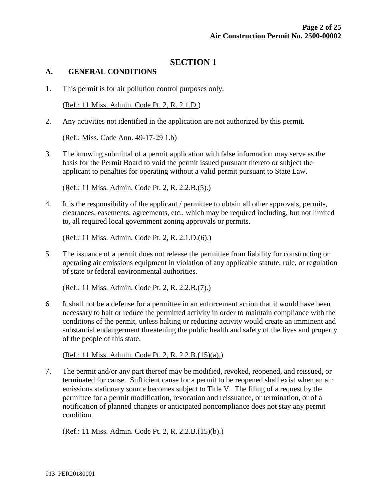## **SECTION 1**

## **A. GENERAL CONDITIONS**

1. This permit is for air pollution control purposes only.

(Ref.: 11 Miss. Admin. Code Pt. 2, R. 2.1.D.)

2. Any activities not identified in the application are not authorized by this permit.

(Ref.: Miss. Code Ann. 49-17-29 1.b)

3. The knowing submittal of a permit application with false information may serve as the basis for the Permit Board to void the permit issued pursuant thereto or subject the applicant to penalties for operating without a valid permit pursuant to State Law.

(Ref.: 11 Miss. Admin. Code Pt. 2, R. 2.2.B.(5).)

4. It is the responsibility of the applicant / permittee to obtain all other approvals, permits, clearances, easements, agreements, etc., which may be required including, but not limited to, all required local government zoning approvals or permits.

(Ref.: 11 Miss. Admin. Code Pt. 2, R. 2.1.D.(6).)

5. The issuance of a permit does not release the permittee from liability for constructing or operating air emissions equipment in violation of any applicable statute, rule, or regulation of state or federal environmental authorities.

(Ref.: 11 Miss. Admin. Code Pt. 2, R. 2.2.B.(7).)

6. It shall not be a defense for a permittee in an enforcement action that it would have been necessary to halt or reduce the permitted activity in order to maintain compliance with the conditions of the permit, unless halting or reducing activity would create an imminent and substantial endangerment threatening the public health and safety of the lives and property of the people of this state.

(Ref.: 11 Miss. Admin. Code Pt. 2, R. 2.2.B.(15)(a).)

7. The permit and/or any part thereof may be modified, revoked, reopened, and reissued, or terminated for cause. Sufficient cause for a permit to be reopened shall exist when an air emissions stationary source becomes subject to Title V. The filing of a request by the permittee for a permit modification, revocation and reissuance, or termination, or of a notification of planned changes or anticipated noncompliance does not stay any permit condition.

(Ref.: 11 Miss. Admin. Code Pt. 2, R. 2.2.B.(15)(b).)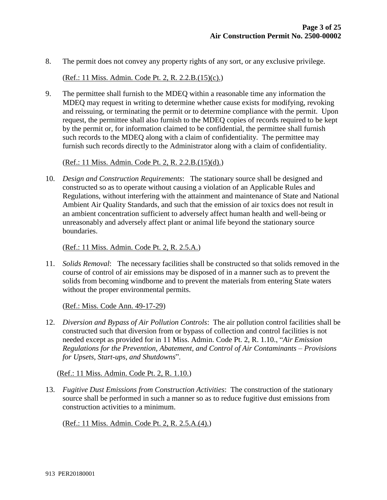8. The permit does not convey any property rights of any sort, or any exclusive privilege.

(Ref.: 11 Miss. Admin. Code Pt. 2, R. 2.2.B.(15)(c).)

9. The permittee shall furnish to the MDEQ within a reasonable time any information the MDEQ may request in writing to determine whether cause exists for modifying, revoking and reissuing, or terminating the permit or to determine compliance with the permit. Upon request, the permittee shall also furnish to the MDEQ copies of records required to be kept by the permit or, for information claimed to be confidential, the permittee shall furnish such records to the MDEQ along with a claim of confidentiality. The permittee may furnish such records directly to the Administrator along with a claim of confidentiality.

(Ref.: 11 Miss. Admin. Code Pt. 2, R. 2.2.B.(15)(d).)

10. *Design and Construction Requirements*: The stationary source shall be designed and constructed so as to operate without causing a violation of an Applicable Rules and Regulations, without interfering with the attainment and maintenance of State and National Ambient Air Quality Standards, and such that the emission of air toxics does not result in an ambient concentration sufficient to adversely affect human health and well-being or unreasonably and adversely affect plant or animal life beyond the stationary source boundaries.

(Ref.: 11 Miss. Admin. Code Pt. 2, R. 2.5.A.)

11. *Solids Removal*: The necessary facilities shall be constructed so that solids removed in the course of control of air emissions may be disposed of in a manner such as to prevent the solids from becoming windborne and to prevent the materials from entering State waters without the proper environmental permits.

(Ref.: Miss. Code Ann. 49-17-29)

12. *Diversion and Bypass of Air Pollution Controls*: The air pollution control facilities shall be constructed such that diversion from or bypass of collection and control facilities is not needed except as provided for in 11 Miss. Admin. Code Pt. 2, R. 1.10., "*Air Emission Regulations for the Prevention, Abatement, and Control of Air Contaminants – Provisions for Upsets, Start-ups, and Shutdowns*".

(Ref.: 11 Miss. Admin. Code Pt. 2, R. 1.10.)

13. *Fugitive Dust Emissions from Construction Activities*: The construction of the stationary source shall be performed in such a manner so as to reduce fugitive dust emissions from construction activities to a minimum.

(Ref.: 11 Miss. Admin. Code Pt. 2, R. 2.5.A.(4).)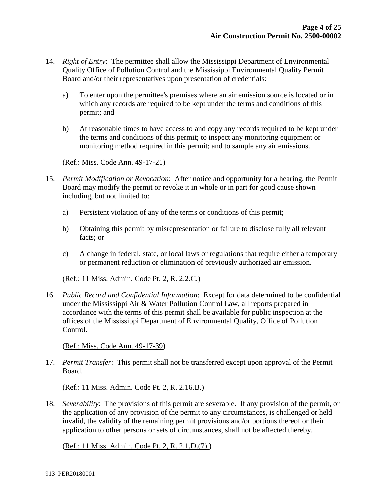- 14. *Right of Entry*: The permittee shall allow the Mississippi Department of Environmental Quality Office of Pollution Control and the Mississippi Environmental Quality Permit Board and/or their representatives upon presentation of credentials:
	- a) To enter upon the permittee's premises where an air emission source is located or in which any records are required to be kept under the terms and conditions of this permit; and
	- b) At reasonable times to have access to and copy any records required to be kept under the terms and conditions of this permit; to inspect any monitoring equipment or monitoring method required in this permit; and to sample any air emissions.

(Ref.: Miss. Code Ann. 49-17-21)

- 15. *Permit Modification or Revocation*: After notice and opportunity for a hearing, the Permit Board may modify the permit or revoke it in whole or in part for good cause shown including, but not limited to:
	- a) Persistent violation of any of the terms or conditions of this permit;
	- b) Obtaining this permit by misrepresentation or failure to disclose fully all relevant facts; or
	- c) A change in federal, state, or local laws or regulations that require either a temporary or permanent reduction or elimination of previously authorized air emission.

(Ref.: 11 Miss. Admin. Code Pt. 2, R. 2.2.C.)

16. *Public Record and Confidential Information*: Except for data determined to be confidential under the Mississippi Air & Water Pollution Control Law, all reports prepared in accordance with the terms of this permit shall be available for public inspection at the offices of the Mississippi Department of Environmental Quality, Office of Pollution Control.

(Ref.: Miss. Code Ann. 49-17-39)

17. *Permit Transfer*: This permit shall not be transferred except upon approval of the Permit Board.

(Ref.: 11 Miss. Admin. Code Pt. 2, R. 2.16.B.)

18. *Severability*: The provisions of this permit are severable. If any provision of the permit, or the application of any provision of the permit to any circumstances, is challenged or held invalid, the validity of the remaining permit provisions and/or portions thereof or their application to other persons or sets of circumstances, shall not be affected thereby.

(Ref.: 11 Miss. Admin. Code Pt. 2, R. 2.1.D.(7).)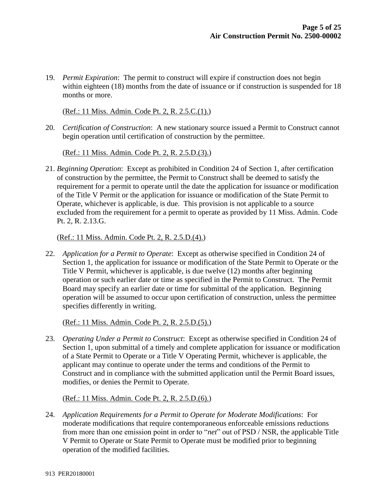19. *Permit Expiration*: The permit to construct will expire if construction does not begin within eighteen (18) months from the date of issuance or if construction is suspended for 18 months or more.

(Ref.: 11 Miss. Admin. Code Pt. 2, R. 2.5.C.(1).)

20. *Certification of Construction*: A new stationary source issued a Permit to Construct cannot begin operation until certification of construction by the permittee.

(Ref.: 11 Miss. Admin. Code Pt. 2, R. 2.5.D.(3).)

21. *Beginning Operation*: Except as prohibited in Condition 24 of Section 1, after certification of construction by the permittee, the Permit to Construct shall be deemed to satisfy the requirement for a permit to operate until the date the application for issuance or modification of the Title V Permit or the application for issuance or modification of the State Permit to Operate, whichever is applicable, is due. This provision is not applicable to a source excluded from the requirement for a permit to operate as provided by 11 Miss. Admin. Code Pt. 2, R. 2.13.G.

#### (Ref.: 11 Miss. Admin. Code Pt. 2, R. 2.5.D.(4).)

22. *Application for a Permit to Operate*: Except as otherwise specified in Condition 24 of Section 1, the application for issuance or modification of the State Permit to Operate or the Title V Permit, whichever is applicable, is due twelve (12) months after beginning operation or such earlier date or time as specified in the Permit to Construct. The Permit Board may specify an earlier date or time for submittal of the application. Beginning operation will be assumed to occur upon certification of construction, unless the permittee specifies differently in writing.

(Ref.: 11 Miss. Admin. Code Pt. 2, R. 2.5.D.(5).)

23. *Operating Under a Permit to Construct*: Except as otherwise specified in Condition 24 of Section 1, upon submittal of a timely and complete application for issuance or modification of a State Permit to Operate or a Title V Operating Permit, whichever is applicable, the applicant may continue to operate under the terms and conditions of the Permit to Construct and in compliance with the submitted application until the Permit Board issues, modifies, or denies the Permit to Operate.

## (Ref.: 11 Miss. Admin. Code Pt. 2, R. 2.5.D.(6).)

24. *Application Requirements for a Permit to Operate for Moderate Modifications*: For moderate modifications that require contemporaneous enforceable emissions reductions from more than one emission point in order to "*net*" out of PSD / NSR, the applicable Title V Permit to Operate or State Permit to Operate must be modified prior to beginning operation of the modified facilities.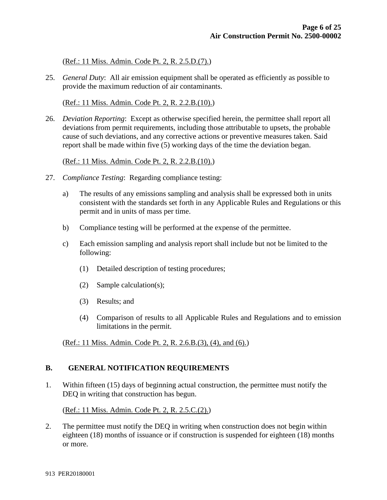(Ref.: 11 Miss. Admin. Code Pt. 2, R. 2.5.D.(7).)

25. *General Duty*: All air emission equipment shall be operated as efficiently as possible to provide the maximum reduction of air contaminants.

(Ref.: 11 Miss. Admin. Code Pt. 2, R. 2.2.B.(10).)

26. *Deviation Reporting*: Except as otherwise specified herein, the permittee shall report all deviations from permit requirements, including those attributable to upsets, the probable cause of such deviations, and any corrective actions or preventive measures taken. Said report shall be made within five (5) working days of the time the deviation began.

(Ref.: 11 Miss. Admin. Code Pt. 2, R. 2.2.B.(10).)

- 27. *Compliance Testing*: Regarding compliance testing:
	- a) The results of any emissions sampling and analysis shall be expressed both in units consistent with the standards set forth in any Applicable Rules and Regulations or this permit and in units of mass per time.
	- b) Compliance testing will be performed at the expense of the permittee.
	- c) Each emission sampling and analysis report shall include but not be limited to the following:
		- (1) Detailed description of testing procedures;
		- (2) Sample calculation(s);
		- (3) Results; and
		- (4) Comparison of results to all Applicable Rules and Regulations and to emission limitations in the permit.

(Ref.: 11 Miss. Admin. Code Pt. 2, R. 2.6.B.(3), (4), and (6).)

## **B. GENERAL NOTIFICATION REQUIREMENTS**

1. Within fifteen (15) days of beginning actual construction, the permittee must notify the DEQ in writing that construction has begun.

(Ref.: 11 Miss. Admin. Code Pt. 2, R. 2.5.C.(2).)

2. The permittee must notify the DEQ in writing when construction does not begin within eighteen (18) months of issuance or if construction is suspended for eighteen (18) months or more.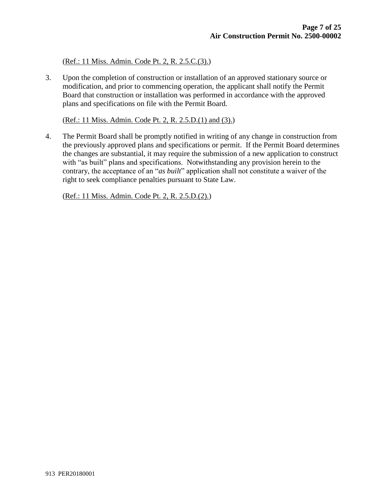(Ref.: 11 Miss. Admin. Code Pt. 2, R. 2.5.C.(3).)

3. Upon the completion of construction or installation of an approved stationary source or modification, and prior to commencing operation, the applicant shall notify the Permit Board that construction or installation was performed in accordance with the approved plans and specifications on file with the Permit Board.

(Ref.: 11 Miss. Admin. Code Pt. 2, R. 2.5.D.(1) and (3).)

4. The Permit Board shall be promptly notified in writing of any change in construction from the previously approved plans and specifications or permit. If the Permit Board determines the changes are substantial, it may require the submission of a new application to construct with "as built" plans and specifications. Notwithstanding any provision herein to the contrary, the acceptance of an "*as built*" application shall not constitute a waiver of the right to seek compliance penalties pursuant to State Law.

(Ref.: 11 Miss. Admin. Code Pt. 2, R. 2.5.D.(2).)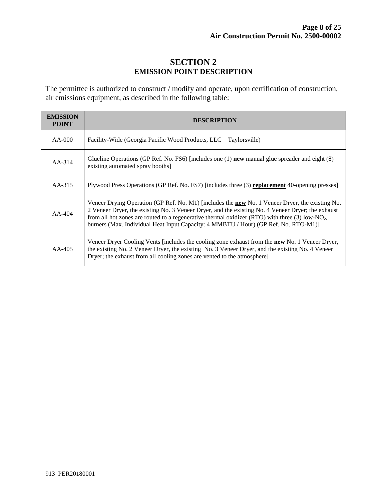## **SECTION 2 EMISSION POINT DESCRIPTION**

The permittee is authorized to construct / modify and operate, upon certification of construction, air emissions equipment, as described in the following table:

| <b>EMISSION</b><br><b>POINT</b> | <b>DESCRIPTION</b>                                                                                                                                                                                                                                                                                                                                                                                              |  |  |
|---------------------------------|-----------------------------------------------------------------------------------------------------------------------------------------------------------------------------------------------------------------------------------------------------------------------------------------------------------------------------------------------------------------------------------------------------------------|--|--|
| $AA-000$                        | Facility-Wide (Georgia Pacific Wood Products, LLC – Taylorsville)                                                                                                                                                                                                                                                                                                                                               |  |  |
| $AA-314$                        | Glueline Operations (GP Ref. No. FS6) [includes one (1) <b>new</b> manual glue spreader and eight (8)<br>existing automated spray booths]                                                                                                                                                                                                                                                                       |  |  |
| $AA-315$                        | Plywood Press Operations (GP Ref. No. FS7) [includes three (3) <b>replacement</b> 40-opening presses]                                                                                                                                                                                                                                                                                                           |  |  |
| $AA-404$                        | Veneer Drying Operation (GP Ref. No. M1) [includes the <b>new</b> No. 1 Veneer Dryer, the existing No.<br>2 Veneer Dryer, the existing No. 3 Veneer Dryer, and the existing No. 4 Veneer Dryer; the exhaust<br>from all hot zones are routed to a regenerative thermal oxidizer (RTO) with three (3) low-NO <sub>x</sub><br>burners (Max. Individual Heat Input Capacity: 4 MMBTU / Hour) (GP Ref. No. RTO-M1)] |  |  |
| $AA-405$                        | Veneer Dryer Cooling Vents [includes the cooling zone exhaust from the new No. 1 Veneer Dryer,<br>the existing No. 2 Veneer Dryer, the existing No. 3 Veneer Dryer, and the existing No. 4 Veneer<br>Dryer; the exhaust from all cooling zones are vented to the atmosphere]                                                                                                                                    |  |  |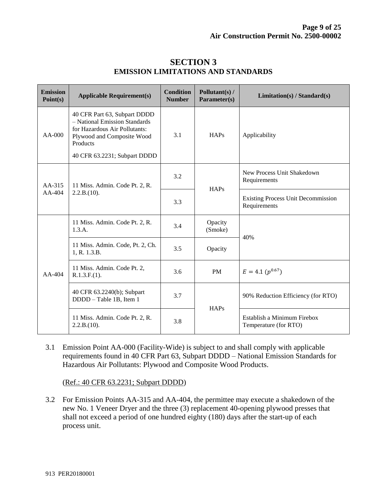| <b>Emission</b><br>Point(s) | <b>Applicable Requirement(s)</b>                                                                                                                                         | <b>Condition</b><br><b>Number</b> | Pollutant(s) /<br>Parameter(s) | Limitation(s) / Standard(s)                               |  |
|-----------------------------|--------------------------------------------------------------------------------------------------------------------------------------------------------------------------|-----------------------------------|--------------------------------|-----------------------------------------------------------|--|
| $AA-000$                    | 40 CFR Part 63, Subpart DDDD<br>- National Emission Standards<br>for Hazardous Air Pollutants:<br>Plywood and Composite Wood<br>Products<br>40 CFR 63.2231; Subpart DDDD | 3.1                               | HAPs                           | Applicability                                             |  |
|                             |                                                                                                                                                                          |                                   |                                |                                                           |  |
| $AA-315$<br>$AA-404$        | 11 Miss. Admin. Code Pt. 2, R.<br>2.2.B.(10).                                                                                                                            | 3.2                               | HAPs                           | New Process Unit Shakedown<br>Requirements                |  |
|                             |                                                                                                                                                                          | 3.3                               |                                | <b>Existing Process Unit Decommission</b><br>Requirements |  |
| $AA-404$                    | 11 Miss. Admin. Code Pt. 2, R.<br>1.3.A.                                                                                                                                 | 3.4                               | Opacity<br>(Smoke)             |                                                           |  |
|                             | 11 Miss. Admin. Code, Pt. 2, Ch.<br>1, R. 1.3.B.                                                                                                                         | 3.5                               | Opacity                        | 40%                                                       |  |
|                             | 11 Miss. Admin. Code Pt. 2,<br>R.1.3.F.(1).                                                                                                                              | 3.6                               | <b>PM</b>                      | $E = 4.1 (p^{0.67})$                                      |  |
|                             | 40 CFR 63.2240(b); Subpart<br>DDDD - Table 1B, Item 1                                                                                                                    | 3.7                               | <b>HAPs</b>                    | 90% Reduction Efficiency (for RTO)                        |  |
|                             | 11 Miss. Admin. Code Pt. 2, R.<br>2.2.B.(10).                                                                                                                            | 3.8                               |                                | Establish a Minimum Firebox<br>Temperature (for RTO)      |  |

## **SECTION 3 EMISSION LIMITATIONS AND STANDARDS**

3.1 Emission Point AA-000 (Facility-Wide) is subject to and shall comply with applicable requirements found in 40 CFR Part 63, Subpart DDDD – National Emission Standards for Hazardous Air Pollutants: Plywood and Composite Wood Products.

(Ref.: 40 CFR 63.2231; Subpart DDDD)

3.2 For Emission Points AA-315 and AA-404, the permittee may execute a shakedown of the new No. 1 Veneer Dryer and the three (3) replacement 40-opening plywood presses that shall not exceed a period of one hundred eighty (180) days after the start-up of each process unit.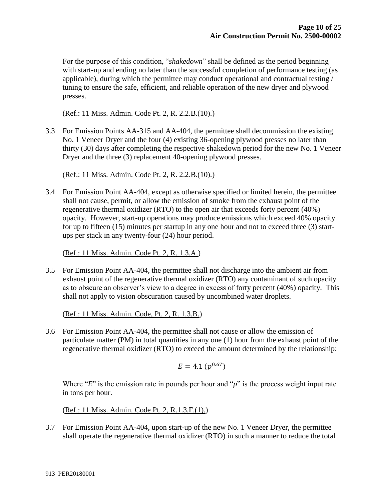For the purpose of this condition, "*shakedown*" shall be defined as the period beginning with start-up and ending no later than the successful completion of performance testing (as applicable), during which the permittee may conduct operational and contractual testing / tuning to ensure the safe, efficient, and reliable operation of the new dryer and plywood presses.

(Ref.: 11 Miss. Admin. Code Pt. 2, R. 2.2.B.(10).)

3.3 For Emission Points AA-315 and AA-404, the permittee shall decommission the existing No. 1 Veneer Dryer and the four (4) existing 36-opening plywood presses no later than thirty (30) days after completing the respective shakedown period for the new No. 1 Veneer Dryer and the three (3) replacement 40-opening plywood presses.

(Ref.: 11 Miss. Admin. Code Pt. 2, R. 2.2.B.(10).)

3.4 For Emission Point AA-404, except as otherwise specified or limited herein, the permittee shall not cause, permit, or allow the emission of smoke from the exhaust point of the regenerative thermal oxidizer (RTO) to the open air that exceeds forty percent (40%) opacity. However, start-up operations may produce emissions which exceed 40% opacity for up to fifteen (15) minutes per startup in any one hour and not to exceed three (3) startups per stack in any twenty-four (24) hour period.

(Ref.: 11 Miss. Admin. Code Pt. 2, R. 1.3.A.)

3.5 For Emission Point AA-404, the permittee shall not discharge into the ambient air from exhaust point of the regenerative thermal oxidizer (RTO) any contaminant of such opacity as to obscure an observer's view to a degree in excess of forty percent (40%) opacity. This shall not apply to vision obscuration caused by uncombined water droplets.

(Ref.: 11 Miss. Admin. Code, Pt. 2, R. 1.3.B.)

3.6 For Emission Point AA-404, the permittee shall not cause or allow the emission of particulate matter (PM) in total quantities in any one (1) hour from the exhaust point of the regenerative thermal oxidizer (RTO) to exceed the amount determined by the relationship:

$$
E = 4.1 \, (p^{0.67})
$$

Where "*E*" is the emission rate in pounds per hour and "*p*" is the process weight input rate in tons per hour.

(Ref.: 11 Miss. Admin. Code Pt. 2, R.1.3.F.(1).)

3.7 For Emission Point AA-404, upon start-up of the new No. 1 Veneer Dryer, the permittee shall operate the regenerative thermal oxidizer (RTO) in such a manner to reduce the total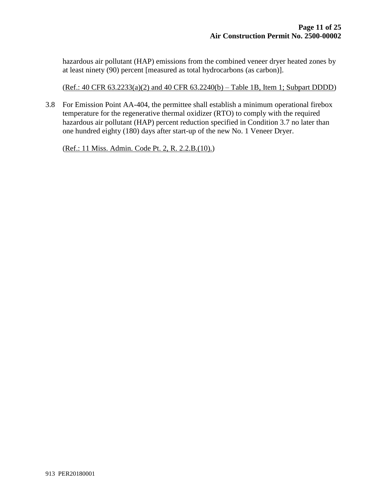hazardous air pollutant (HAP) emissions from the combined veneer dryer heated zones by at least ninety (90) percent [measured as total hydrocarbons (as carbon)].

(Ref.: 40 CFR 63.2233(a)(2) and 40 CFR 63.2240(b) – Table 1B, Item 1; Subpart DDDD)

3.8 For Emission Point AA-404, the permittee shall establish a minimum operational firebox temperature for the regenerative thermal oxidizer (RTO) to comply with the required hazardous air pollutant (HAP) percent reduction specified in Condition 3.7 no later than one hundred eighty (180) days after start-up of the new No. 1 Veneer Dryer.

(Ref.: 11 Miss. Admin. Code Pt. 2, R. 2.2.B.(10).)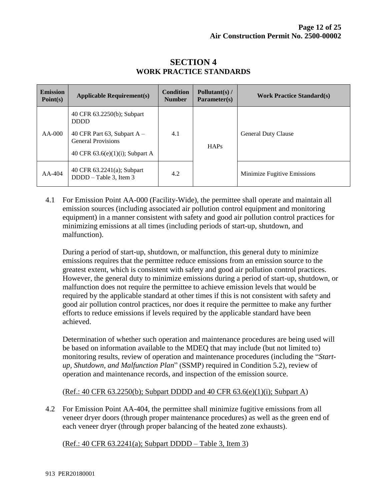| <b>Emission</b><br>Point(s) | <b>Applicable Requirement(s)</b>                                                                                                              | <b>Condition</b><br><b>Number</b> | Pollutant(s) $/$<br>Parameter(s) | <b>Work Practice Standard(s)</b> |
|-----------------------------|-----------------------------------------------------------------------------------------------------------------------------------------------|-----------------------------------|----------------------------------|----------------------------------|
| $AA-000$                    | 40 CFR 63.2250(b); Subpart<br><b>DDDD</b><br>40 CFR Part 63, Subpart $A -$<br><b>General Provisions</b><br>40 CFR $63.6(e)(1)(i)$ ; Subpart A | 4.1                               | HAPs                             | <b>General Duty Clause</b>       |
| $AA-404$                    | 40 CFR 63.2241(a); Subpart<br>$DDDD - Table 3$ , Item 3                                                                                       | 4.2                               |                                  | Minimize Fugitive Emissions      |

## **SECTION 4 WORK PRACTICE STANDARDS**

4.1 For Emission Point AA-000 (Facility-Wide), the permittee shall operate and maintain all emission sources (including associated air pollution control equipment and monitoring equipment) in a manner consistent with safety and good air pollution control practices for minimizing emissions at all times (including periods of start-up, shutdown, and malfunction).

During a period of start-up, shutdown, or malfunction, this general duty to minimize emissions requires that the permittee reduce emissions from an emission source to the greatest extent, which is consistent with safety and good air pollution control practices. However, the general duty to minimize emissions during a period of start-up, shutdown, or malfunction does not require the permittee to achieve emission levels that would be required by the applicable standard at other times if this is not consistent with safety and good air pollution control practices, nor does it require the permittee to make any further efforts to reduce emissions if levels required by the applicable standard have been achieved.

Determination of whether such operation and maintenance procedures are being used will be based on information available to the MDEQ that may include (but not limited to) monitoring results, review of operation and maintenance procedures (including the "*Startup, Shutdown, and Malfunction Plan*" (SSMP) required in Condition 5.2), review of operation and maintenance records, and inspection of the emission source.

(Ref.: 40 CFR 63.2250(b); Subpart DDDD and 40 CFR 63.6(e)(1)(i); Subpart A)

4.2 For Emission Point AA-404, the permittee shall minimize fugitive emissions from all veneer dryer doors (through proper maintenance procedures) as well as the green end of each veneer dryer (through proper balancing of the heated zone exhausts).

(Ref.: 40 CFR 63.2241(a); Subpart DDDD – Table 3, Item 3)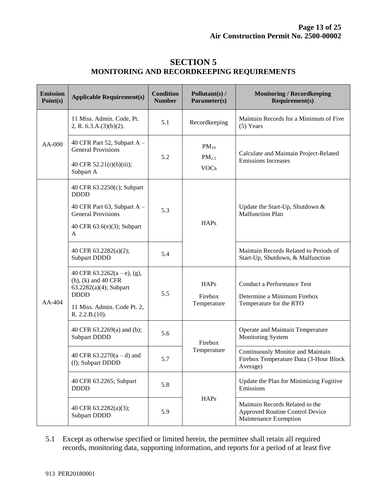| <b>Emission</b><br>Point(s) | <b>Applicable Requirement(s)</b>                                                                                                                      | <b>Condition</b><br><b>Number</b> | Pollutant(s) /<br>Parameter(s)                | <b>Monitoring / Recordkeeping</b><br>Requirement(s)                                         |
|-----------------------------|-------------------------------------------------------------------------------------------------------------------------------------------------------|-----------------------------------|-----------------------------------------------|---------------------------------------------------------------------------------------------|
| AA-000                      | 11 Miss. Admin. Code, Pt.<br>2, R. $6.3.A.(3)(b)(2)$ .                                                                                                | 5.1                               | Recordkeeping                                 | Maintain Records for a Minimum of Five<br>$(5)$ Years                                       |
|                             | 40 CFR Part 52, Subpart A -<br><b>General Provisions</b><br>40 CFR 52.21(r)(6)(iii);<br>Subpart A                                                     | 5.2                               | $PM_{10}$<br>PM <sub>2.5</sub><br><b>VOCs</b> | Calculate and Maintain Project-Related<br><b>Emissions Increases</b>                        |
| AA-404                      | 40 CFR 63.2250(c); Subpart<br><b>DDDD</b><br>40 CFR Part 63, Subpart A -<br><b>General Provisions</b><br>40 CFR 63.6(e)(3); Subpart<br>A              | 5.3                               | <b>HAPs</b>                                   | Update the Start-Up, Shutdown &<br><b>Malfunction Plan</b>                                  |
|                             | 40 CFR 63.2282(a)(2);<br><b>Subpart DDDD</b>                                                                                                          | 5.4                               |                                               | Maintain Records Related to Periods of<br>Start-Up, Shutdown, & Malfunction                 |
|                             | 40 CFR $63.2262(a-e)$ , (g),<br>$(h)$ , $(k)$ and 40 CFR<br>$63.2282(a)(4)$ ; Subpart<br><b>DDDD</b><br>11 Miss. Admin. Code Pt. 2,<br>R. 2.2.B.(10). | 5.5                               | <b>HAPs</b><br>Firebox<br>Temperature         | Conduct a Performance Test<br>Determine a Minimum Firebox<br>Temperature for the RTO        |
|                             | 40 CFR 63.2269(a) and (b);<br><b>Subpart DDDD</b>                                                                                                     | 5.6                               | Firebox                                       | Operate and Maintain Temperature<br><b>Monitoring System</b>                                |
|                             | 40 CFR $63.2270(a-d)$ and<br>(f); Subpart DDDD                                                                                                        | 5.7                               | Temperature                                   | Continuously Monitor and Maintain<br>Firebox Temperature Data (3-Hour Block<br>Average)     |
|                             | 40 CFR 63.2265; Subpart<br><b>DDDD</b>                                                                                                                | 5.8                               |                                               | Update the Plan for Minimizing Fugitive<br>Emissions                                        |
|                             | 40 CFR 63.2282(a)(3);<br><b>Subpart DDDD</b>                                                                                                          | 5.9                               | <b>HAPs</b>                                   | Maintain Records Related to the<br>Approved Routine Control Device<br>Maintenance Exemption |

## **SECTION 5 MONITORING AND RECORDKEEPING REQUIREMENTS**

5.1 Except as otherwise specified or limited herein, the permittee shall retain all required records, monitoring data, supporting information, and reports for a period of at least five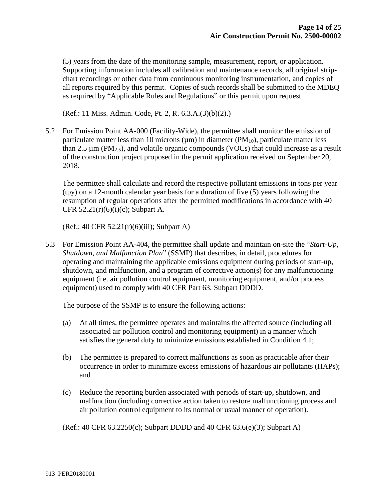(5) years from the date of the monitoring sample, measurement, report, or application. Supporting information includes all calibration and maintenance records, all original stripchart recordings or other data from continuous monitoring instrumentation, and copies of all reports required by this permit. Copies of such records shall be submitted to the MDEQ as required by "Applicable Rules and Regulations" or this permit upon request.

(Ref.: 11 Miss. Admin. Code, Pt. 2, R. 6.3.A.(3)(b)(2).)

5.2 For Emission Point AA-000 (Facility-Wide), the permittee shall monitor the emission of particulate matter less than 10 microns ( $\mu$ m) in diameter ( $PM_{10}$ ), particulate matter less than 2.5  $\mu$ m (PM<sub>2.5</sub>), and volatile organic compounds (VOCs) that could increase as a result of the construction project proposed in the permit application received on September 20, 2018.

The permittee shall calculate and record the respective pollutant emissions in tons per year (tpy) on a 12-month calendar year basis for a duration of five (5) years following the resumption of regular operations after the permitted modifications in accordance with 40 CFR  $52.21(r)(6)(i)(c)$ ; Subpart A.

#### (Ref.: 40 CFR 52.21(r)(6)(iii); Subpart A)

5.3 For Emission Point AA-404, the permittee shall update and maintain on-site the "*Start-Up, Shutdown, and Malfunction Plan*" (SSMP) that describes, in detail, procedures for operating and maintaining the applicable emissions equipment during periods of start-up, shutdown, and malfunction, and a program of corrective action(s) for any malfunctioning equipment (i.e. air pollution control equipment, monitoring equipment, and/or process equipment) used to comply with 40 CFR Part 63, Subpart DDDD.

The purpose of the SSMP is to ensure the following actions:

- (a) At all times, the permittee operates and maintains the affected source (including all associated air pollution control and monitoring equipment) in a manner which satisfies the general duty to minimize emissions established in Condition 4.1;
- (b) The permittee is prepared to correct malfunctions as soon as practicable after their occurrence in order to minimize excess emissions of hazardous air pollutants (HAPs); and
- (c) Reduce the reporting burden associated with periods of start-up, shutdown, and malfunction (including corrective action taken to restore malfunctioning process and air pollution control equipment to its normal or usual manner of operation).

## (Ref.: 40 CFR  $63.2250(c)$ ; Subpart DDDD and 40 CFR  $63.6(e)(3)$ ; Subpart A)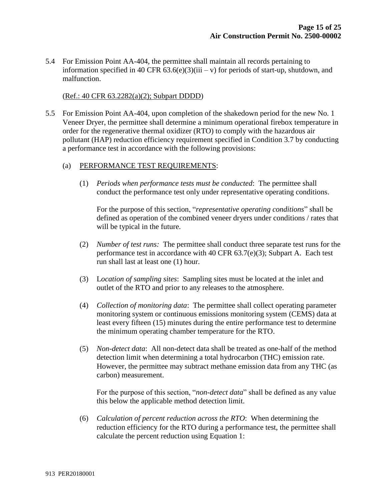5.4 For Emission Point AA-404, the permittee shall maintain all records pertaining to information specified in 40 CFR  $63.6(e)(3)(iii - v)$  for periods of start-up, shutdown, and malfunction.

#### (Ref.: 40 CFR 63.2282(a)(2); Subpart DDDD)

5.5 For Emission Point AA-404, upon completion of the shakedown period for the new No. 1 Veneer Dryer, the permittee shall determine a minimum operational firebox temperature in order for the regenerative thermal oxidizer (RTO) to comply with the hazardous air pollutant (HAP) reduction efficiency requirement specified in Condition 3.7 by conducting a performance test in accordance with the following provisions:

#### (a) PERFORMANCE TEST REQUIREMENTS:

(1) *Periods when performance tests must be conducted*: The permittee shall conduct the performance test only under representative operating conditions.

For the purpose of this section, "*representative operating conditions*" shall be defined as operation of the combined veneer dryers under conditions / rates that will be typical in the future.

- (2) *Number of test runs:* The permittee shall conduct three separate test runs for the performance test in accordance with 40 CFR 63.7(e)(3); Subpart A. Each test run shall last at least one (1) hour.
- (3) L*ocation of sampling sites*: Sampling sites must be located at the inlet and outlet of the RTO and prior to any releases to the atmosphere.
- (4) *Collection of monitoring data*: The permittee shall collect operating parameter monitoring system or continuous emissions monitoring system (CEMS) data at least every fifteen (15) minutes during the entire performance test to determine the minimum operating chamber temperature for the RTO.
- (5) *Non-detect data*: All non-detect data shall be treated as one-half of the method detection limit when determining a total hydrocarbon (THC) emission rate. However, the permittee may subtract methane emission data from any THC (as carbon) measurement.

For the purpose of this section, "*non-detect data*" shall be defined as any value this below the applicable method detection limit.

(6) *Calculation of percent reduction across the RTO*: When determining the reduction efficiency for the RTO during a performance test, the permittee shall calculate the percent reduction using Equation 1: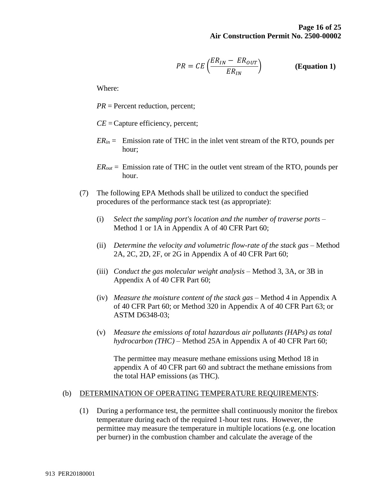$$
PR = CE\left(\frac{ER_{IN} - ER_{OUT}}{ER_{IN}}\right) \qquad \qquad \textbf{(Equation 1)}
$$

Where:

*PR* = Percent reduction, percent;

*CE* = Capture efficiency, percent;

- $ER<sub>in</sub>$  = Emission rate of THC in the inlet vent stream of the RTO, pounds per hour;
- *ERout* = Emission rate of THC in the outlet vent stream of the RTO, pounds per hour.
- (7) The following EPA Methods shall be utilized to conduct the specified procedures of the performance stack test (as appropriate):
	- (i) *Select the sampling port's location and the number of traverse ports* Method 1 or 1A in Appendix A of 40 CFR Part 60;
	- (ii) *Determine the velocity and volumetric flow-rate of the stack gas* Method 2A, 2C, 2D, 2F, or 2G in Appendix A of 40 CFR Part 60;
	- (iii) *Conduct the gas molecular weight analysis* Method 3, 3A, or 3B in Appendix A of 40 CFR Part 60;
	- (iv) *Measure the moisture content of the stack gas* Method 4 in Appendix A of 40 CFR Part 60; or Method 320 in Appendix A of 40 CFR Part 63; or ASTM D6348-03;
	- (v) *Measure the emissions of total hazardous air pollutants (HAPs) as total hydrocarbon (THC)* – Method 25A in Appendix A of 40 CFR Part 60;

The permittee may measure methane emissions using Method 18 in appendix A of 40 CFR part 60 and subtract the methane emissions from the total HAP emissions (as THC).

#### (b) DETERMINATION OF OPERATING TEMPERATURE REQUIREMENTS:

(1) During a performance test, the permittee shall continuously monitor the firebox temperature during each of the required 1-hour test runs. However, the permittee may measure the temperature in multiple locations (e.g. one location per burner) in the combustion chamber and calculate the average of the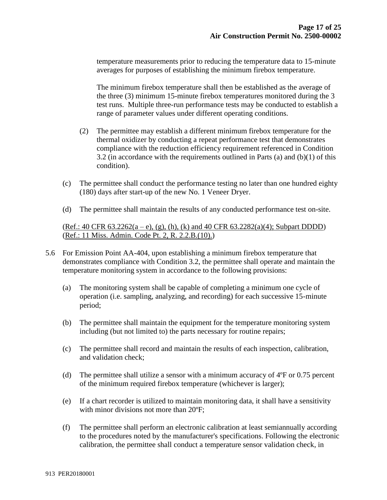temperature measurements prior to reducing the temperature data to 15-minute averages for purposes of establishing the minimum firebox temperature.

The minimum firebox temperature shall then be established as the average of the three (3) minimum 15-minute firebox temperatures monitored during the 3 test runs. Multiple three-run performance tests may be conducted to establish a range of parameter values under different operating conditions.

- (2) The permittee may establish a different minimum firebox temperature for the thermal oxidizer by conducting a repeat performance test that demonstrates compliance with the reduction efficiency requirement referenced in Condition 3.2 (in accordance with the requirements outlined in Parts (a) and  $(b)(1)$  of this condition).
- (c) The permittee shall conduct the performance testing no later than one hundred eighty (180) days after start-up of the new No. 1 Veneer Dryer.
- (d) The permittee shall maintain the results of any conducted performance test on-site.

(Ref.: 40 CFR  $63.2262(a-e)$ , (g), (h), (k) and 40 CFR  $63.2282(a)(4)$ ; Subpart DDDD) (Ref.: 11 Miss. Admin. Code Pt. 2, R. 2.2.B.(10).)

- 5.6 For Emission Point AA-404, upon establishing a minimum firebox temperature that demonstrates compliance with Condition 3.2, the permittee shall operate and maintain the temperature monitoring system in accordance to the following provisions:
	- (a) The monitoring system shall be capable of completing a minimum one cycle of operation (i.e. sampling, analyzing, and recording) for each successive 15-minute period;
	- (b) The permittee shall maintain the equipment for the temperature monitoring system including (but not limited to) the parts necessary for routine repairs;
	- (c) The permittee shall record and maintain the results of each inspection, calibration, and validation check;
	- (d) The permittee shall utilize a sensor with a minimum accuracy of 4ºF or 0.75 percent of the minimum required firebox temperature (whichever is larger);
	- (e) If a chart recorder is utilized to maintain monitoring data, it shall have a sensitivity with minor divisions not more than 20°F;
	- (f) The permittee shall perform an electronic calibration at least semiannually according to the procedures noted by the manufacturer's specifications. Following the electronic calibration, the permittee shall conduct a temperature sensor validation check, in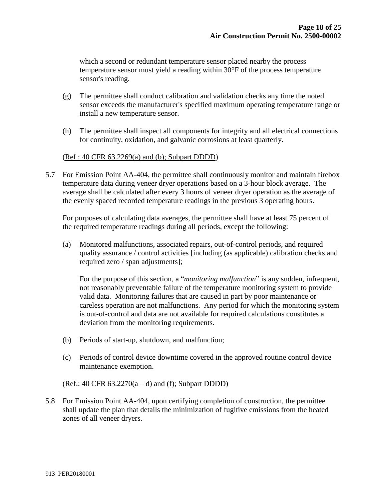which a second or redundant temperature sensor placed nearby the process temperature sensor must yield a reading within 30°F of the process temperature sensor's reading.

- (g) The permittee shall conduct calibration and validation checks any time the noted sensor exceeds the manufacturer's specified maximum operating temperature range or install a new temperature sensor.
- (h) The permittee shall inspect all components for integrity and all electrical connections for continuity, oxidation, and galvanic corrosions at least quarterly.

## (Ref.: 40 CFR 63.2269(a) and (b); Subpart DDDD)

5.7 For Emission Point AA-404, the permittee shall continuously monitor and maintain firebox temperature data during veneer dryer operations based on a 3-hour block average. The average shall be calculated after every 3 hours of veneer dryer operation as the average of the evenly spaced recorded temperature readings in the previous 3 operating hours.

For purposes of calculating data averages, the permittee shall have at least 75 percent of the required temperature readings during all periods, except the following:

(a) Monitored malfunctions, associated repairs, out-of-control periods, and required quality assurance / control activities [including (as applicable) calibration checks and required zero / span adjustments];

For the purpose of this section, a "*monitoring malfunction*" is any sudden, infrequent, not reasonably preventable failure of the temperature monitoring system to provide valid data. Monitoring failures that are caused in part by poor maintenance or careless operation are not malfunctions. Any period for which the monitoring system is out-of-control and data are not available for required calculations constitutes a deviation from the monitoring requirements.

- (b) Periods of start-up, shutdown, and malfunction;
- (c) Periods of control device downtime covered in the approved routine control device maintenance exemption.

#### $(Ref.: 40 CFR 63.2270(a-d) and (f); Subpart DDDD)$

5.8 For Emission Point AA-404, upon certifying completion of construction, the permittee shall update the plan that details the minimization of fugitive emissions from the heated zones of all veneer dryers.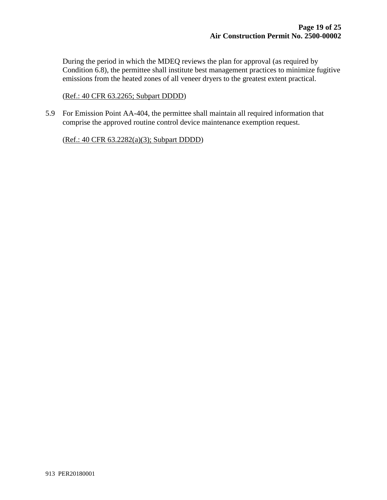During the period in which the MDEQ reviews the plan for approval (as required by Condition 6.8), the permittee shall institute best management practices to minimize fugitive emissions from the heated zones of all veneer dryers to the greatest extent practical.

(Ref.: 40 CFR 63.2265; Subpart DDDD)

5.9 For Emission Point AA-404, the permittee shall maintain all required information that comprise the approved routine control device maintenance exemption request.

(Ref.: 40 CFR 63.2282(a)(3); Subpart DDDD)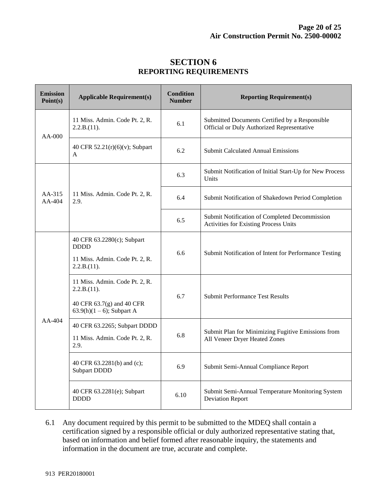| <b>Emission</b><br>Point(s) | <b>Applicable Requirement(s)</b>                                                                            | <b>Condition</b><br><b>Number</b> | <b>Reporting Requirement(s)</b>                                                              |  |
|-----------------------------|-------------------------------------------------------------------------------------------------------------|-----------------------------------|----------------------------------------------------------------------------------------------|--|
| $AA-000$                    | 11 Miss. Admin. Code Pt. 2, R.<br>2.2.B.(11).                                                               | 6.1                               | Submitted Documents Certified by a Responsible<br>Official or Duly Authorized Representative |  |
|                             | 40 CFR 52.21(r)(6)(v); Subpart<br>A                                                                         | 6.2                               | <b>Submit Calculated Annual Emissions</b>                                                    |  |
| AA-315<br>AA-404            | 11 Miss. Admin. Code Pt. 2, R.<br>2.9.                                                                      | 6.3                               | Submit Notification of Initial Start-Up for New Process<br>Units                             |  |
|                             |                                                                                                             | 6.4                               | Submit Notification of Shakedown Period Completion                                           |  |
|                             |                                                                                                             | 6.5                               | Submit Notification of Completed Decommission<br>Activities for Existing Process Units       |  |
| AA-404                      | 40 CFR 63.2280(c); Subpart<br><b>DDDD</b><br>11 Miss. Admin. Code Pt. 2, R.<br>2.2.B.(11).                  | 6.6                               | Submit Notification of Intent for Performance Testing                                        |  |
|                             | 11 Miss. Admin. Code Pt. 2, R.<br>2.2.B.(11).<br>40 CFR 63.7(g) and 40 CFR<br>63.9(h) $(1 – 6)$ ; Subpart A | 6.7                               | <b>Submit Performance Test Results</b>                                                       |  |
|                             | 40 CFR 63.2265; Subpart DDDD<br>11 Miss. Admin. Code Pt. 2, R.<br>2.9.                                      | 6.8                               | Submit Plan for Minimizing Fugitive Emissions from<br>All Veneer Dryer Heated Zones          |  |
|                             | 40 CFR 63.2281(b) and (c);<br><b>Subpart DDDD</b>                                                           | 6.9                               | Submit Semi-Annual Compliance Report                                                         |  |
|                             | 40 CFR 63.2281(e); Subpart<br><b>DDDD</b>                                                                   | 6.10                              | Submit Semi-Annual Temperature Monitoring System<br><b>Deviation Report</b>                  |  |

## **SECTION 6 REPORTING REQUIREMENTS**

6.1 Any document required by this permit to be submitted to the MDEQ shall contain a certification signed by a responsible official or duly authorized representative stating that, based on information and belief formed after reasonable inquiry, the statements and information in the document are true, accurate and complete.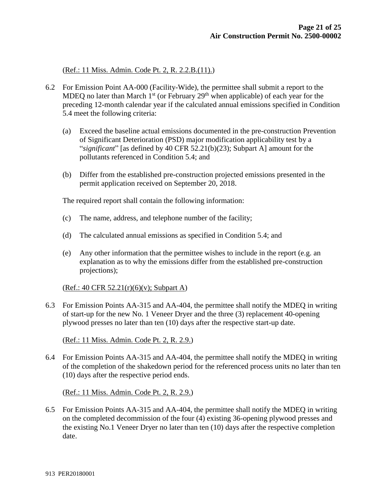(Ref.: 11 Miss. Admin. Code Pt. 2, R. 2.2.B.(11).)

- 6.2 For Emission Point AA-000 (Facility-Wide), the permittee shall submit a report to the MDEQ no later than March  $1<sup>st</sup>$  (or February 29<sup>th</sup> when applicable) of each year for the preceding 12-month calendar year if the calculated annual emissions specified in Condition 5.4 meet the following criteria:
	- (a) Exceed the baseline actual emissions documented in the pre-construction Prevention of Significant Deterioration (PSD) major modification applicability test by a "*significant*" [as defined by 40 CFR 52.21(b)(23); Subpart A] amount for the pollutants referenced in Condition 5.4; and
	- (b) Differ from the established pre-construction projected emissions presented in the permit application received on September 20, 2018.

The required report shall contain the following information:

- (c) The name, address, and telephone number of the facility;
- (d) The calculated annual emissions as specified in Condition 5.4; and
- (e) Any other information that the permittee wishes to include in the report (e.g. an explanation as to why the emissions differ from the established pre-construction projections);

 $(Ref.: 40 CFR 52.21(r)(6)(v); Subpart A)$ 

6.3 For Emission Points AA-315 and AA-404, the permittee shall notify the MDEQ in writing of start-up for the new No. 1 Veneer Dryer and the three (3) replacement 40-opening plywood presses no later than ten (10) days after the respective start-up date.

(Ref.: 11 Miss. Admin. Code Pt. 2, R. 2.9.)

6.4 For Emission Points AA-315 and AA-404, the permittee shall notify the MDEQ in writing of the completion of the shakedown period for the referenced process units no later than ten (10) days after the respective period ends.

(Ref.: 11 Miss. Admin. Code Pt. 2, R. 2.9.)

6.5 For Emission Points AA-315 and AA-404, the permittee shall notify the MDEQ in writing on the completed decommission of the four (4) existing 36-opening plywood presses and the existing No.1 Veneer Dryer no later than ten (10) days after the respective completion date.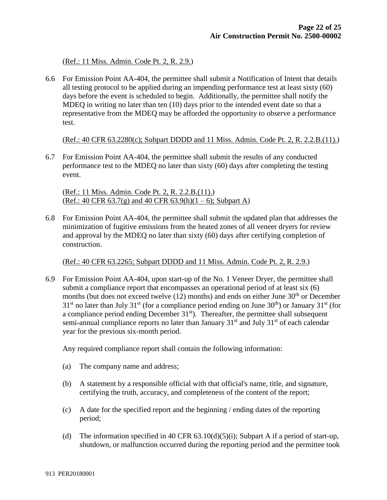(Ref.: 11 Miss. Admin. Code Pt. 2, R. 2.9.)

6.6 For Emission Point AA-404, the permittee shall submit a Notification of Intent that details all testing protocol to be applied during an impending performance test at least sixty (60) days before the event is scheduled to begin. Additionally, the permittee shall notify the MDEQ in writing no later than ten (10) days prior to the intended event date so that a representative from the MDEQ may be afforded the opportunity to observe a performance test.

(Ref.: 40 CFR 63.2280(c); Subpart DDDD and 11 Miss. Admin. Code Pt. 2, R. 2.2.B.(11).)

6.7 For Emission Point AA-404, the permittee shall submit the results of any conducted performance test to the MDEQ no later than sixty (60) days after completing the testing event.

(Ref.: 11 Miss. Admin. Code Pt. 2, R. 2.2.B.(11).) (Ref.: 40 CFR 63.7(g) and 40 CFR 63.9(h)(1 – 6); Subpart A)

6.8 For Emission Point AA-404, the permittee shall submit the updated plan that addresses the minimization of fugitive emissions from the heated zones of all veneer dryers for review and approval by the MDEQ no later than sixty (60) days after certifying completion of construction.

(Ref.: 40 CFR 63.2265; Subpart DDDD and 11 Miss. Admin. Code Pt. 2, R. 2.9.)

6.9 For Emission Point AA-404, upon start-up of the No. 1 Veneer Dryer, the permittee shall submit a compliance report that encompasses an operational period of at least six (6) months (but does not exceed twelve  $(12)$  months) and ends on either June  $30<sup>th</sup>$  or December  $31<sup>st</sup>$  no later than July  $31<sup>st</sup>$  (for a compliance period ending on June  $30<sup>th</sup>$ ) or January  $31<sup>st</sup>$  (for a compliance period ending December  $31<sup>st</sup>$ ). Thereafter, the permittee shall subsequent semi-annual compliance reports no later than January  $31<sup>st</sup>$  and July  $31<sup>st</sup>$  of each calendar year for the previous six-month period.

Any required compliance report shall contain the following information:

- (a) The company name and address;
- (b) A statement by a responsible official with that official's name, title, and signature, certifying the truth, accuracy, and completeness of the content of the report;
- (c) A date for the specified report and the beginning / ending dates of the reporting period;
- (d) The information specified in 40 CFR  $(3.10(d)(5)(i))$ ; Subpart A if a period of start-up, shutdown, or malfunction occurred during the reporting period and the permittee took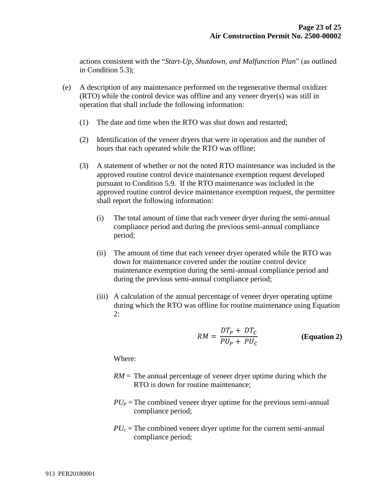actions consistent with the "*Start-Up, Shutdown, and Malfunction Plan*" (as outlined in Condition 5.3);

- (e) A description of any maintenance performed on the regenerative thermal oxidizer (RTO) while the control device was offline and any veneer dryer(s) was still in operation that shall include the following information:
	- (1) The date and time when the RTO was shut down and restarted;
	- (2) Identification of the veneer dryers that were in operation and the number of hours that each operated while the RTO was offline;
	- (3) A statement of whether or not the noted RTO maintenance was included in the approved routine control device maintenance exemption request developed pursuant to Condition 5.9. If the RTO maintenance was included in the approved routine control device maintenance exemption request, the permittee shall report the following information:
		- (i) The total amount of time that each veneer dryer during the semi-annual compliance period and during the previous semi-annual compliance period;
		- (ii) The amount of time that each veneer dryer operated while the RTO was down for maintenance covered under the routine control device maintenance exemption during the semi-annual compliance period and during the previous semi-annual compliance period;
		- (iii) A calculation of the annual percentage of veneer dryer operating uptime during which the RTO was offline for routine maintenance using Equation  $2:$

$$
RM = \frac{DT_P + DT_C}{PU_P + PU_C}
$$
 (Equation 2)

Where:

- $RM =$ The annual percentage of veneer dryer uptime during which the RTO is down for routine maintenance;
- $PU_p$  = The combined veneer dryer uptime for the previous semi-annual compliance period;
- $PU_c$  = The combined veneer dryer uptime for the current semi-annual compliance period;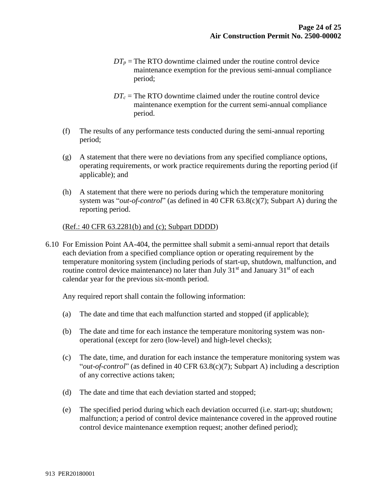- $DT_p$  = The RTO downtime claimed under the routine control device maintenance exemption for the previous semi-annual compliance period;
- $DT_c$  = The RTO downtime claimed under the routine control device maintenance exemption for the current semi-annual compliance period.
- (f) The results of any performance tests conducted during the semi-annual reporting period;
- (g) A statement that there were no deviations from any specified compliance options, operating requirements, or work practice requirements during the reporting period (if applicable); and
- (h) A statement that there were no periods during which the temperature monitoring system was "*out-of-control*" (as defined in 40 CFR 63.8(c)(7); Subpart A) during the reporting period.

## (Ref.: 40 CFR 63.2281(b) and (c); Subpart DDDD)

6.10 For Emission Point AA-404, the permittee shall submit a semi-annual report that details each deviation from a specified compliance option or operating requirement by the temperature monitoring system (including periods of start-up, shutdown, malfunction, and routine control device maintenance) no later than July  $31<sup>st</sup>$  and January  $31<sup>st</sup>$  of each calendar year for the previous six-month period.

Any required report shall contain the following information:

- (a) The date and time that each malfunction started and stopped (if applicable);
- (b) The date and time for each instance the temperature monitoring system was nonoperational (except for zero (low-level) and high-level checks);
- (c) The date, time, and duration for each instance the temperature monitoring system was "*out-of-control*" (as defined in 40 CFR 63.8(c)(7); Subpart A) including a description of any corrective actions taken;
- (d) The date and time that each deviation started and stopped;
- (e) The specified period during which each deviation occurred (i.e. start-up; shutdown; malfunction; a period of control device maintenance covered in the approved routine control device maintenance exemption request; another defined period);